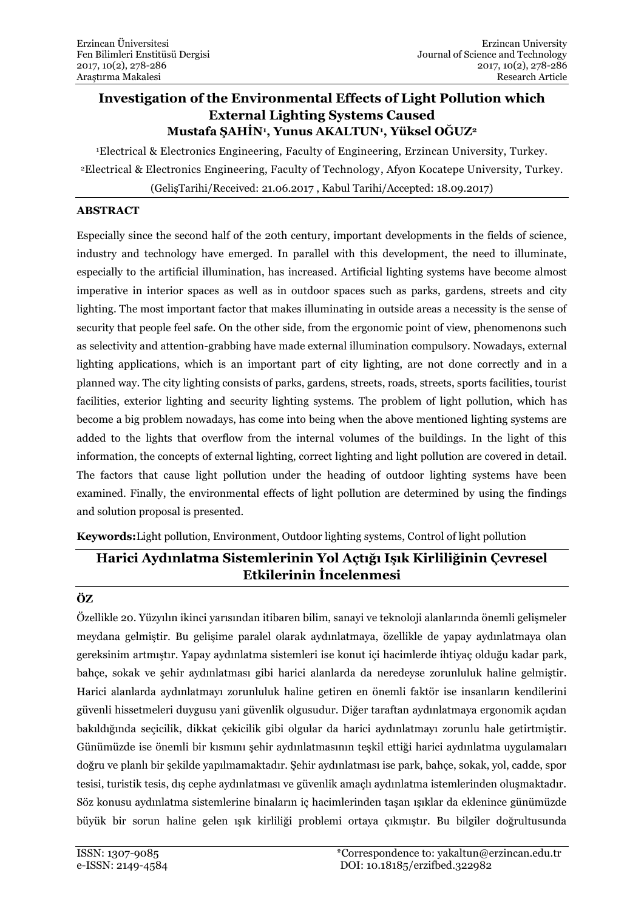# **Investigation of the Environmental Effects of Light Pollution which External Lighting Systems Caused Mustafa ŞAHİN<sup>1</sup> , Yunus AKALTUN<sup>1</sup> , Yüksel OĞUZ<sup>2</sup>**

<sup>1</sup>Electrical & Electronics Engineering, Faculty of Engineering, Erzincan University, Turkey. <sup>2</sup>Electrical & Electronics Engineering, Faculty of Technology, Afyon Kocatepe University, Turkey.

(GelişTarihi/Received: 21.06.2017 , Kabul Tarihi/Accepted: 18.09.2017)

### **ABSTRACT**

Especially since the second half of the 20th century, important developments in the fields of science, industry and technology have emerged. In parallel with this development, the need to illuminate, especially to the artificial illumination, has increased. Artificial lighting systems have become almost imperative in interior spaces as well as in outdoor spaces such as parks, gardens, streets and city lighting. The most important factor that makes illuminating in outside areas a necessity is the sense of security that people feel safe. On the other side, from the ergonomic point of view, phenomenons such as selectivity and attention-grabbing have made external illumination compulsory. Nowadays, external lighting applications, which is an important part of city lighting, are not done correctly and in a planned way. The city lighting consists of parks, gardens, streets, roads, streets, sports facilities, tourist facilities, exterior lighting and security lighting systems. The problem of light pollution, which has become a big problem nowadays, has come into being when the above mentioned lighting systems are added to the lights that overflow from the internal volumes of the buildings. In the light of this information, the concepts of external lighting, correct lighting and light pollution are covered in detail. The factors that cause light pollution under the heading of outdoor lighting systems have been examined. Finally, the environmental effects of light pollution are determined by using the findings and solution proposal is presented.

**Keywords:**Light pollution, Environment, Outdoor lighting systems, Control of light pollution

# **Harici Aydınlatma Sistemlerinin Yol Açtığı Işık Kirliliğinin Çevresel Etkilerinin İncelenmesi**

## **ÖZ**

Özellikle 20. Yüzyılın ikinci yarısından itibaren bilim, sanayi ve teknoloji alanlarında önemli gelişmeler meydana gelmiştir. Bu gelişime paralel olarak aydınlatmaya, özellikle de yapay aydınlatmaya olan gereksinim artmıştır. Yapay aydınlatma sistemleri ise konut içi hacimlerde ihtiyaç olduğu kadar park, bahçe, sokak ve şehir aydınlatması gibi harici alanlarda da neredeyse zorunluluk haline gelmiştir. Harici alanlarda aydınlatmayı zorunluluk haline getiren en önemli faktör ise insanların kendilerini güvenli hissetmeleri duygusu yani güvenlik olgusudur. Diğer taraftan aydınlatmaya ergonomik açıdan bakıldığında seçicilik, dikkat çekicilik gibi olgular da harici aydınlatmayı zorunlu hale getirtmiştir. Günümüzde ise önemli bir kısmını şehir aydınlatmasının teşkil ettiği harici aydınlatma uygulamaları doğru ve planlı bir şekilde yapılmamaktadır. Şehir aydınlatması ise park, bahçe, sokak, yol, cadde, spor tesisi, turistik tesis, dış cephe aydınlatması ve güvenlik amaçlı aydınlatma istemlerinden oluşmaktadır. Söz konusu aydınlatma sistemlerine binaların iç hacimlerinden taşan ışıklar da eklenince günümüzde büyük bir sorun haline gelen ışık kirliliği problemi ortaya çıkmıştır. Bu bilgiler doğrultusunda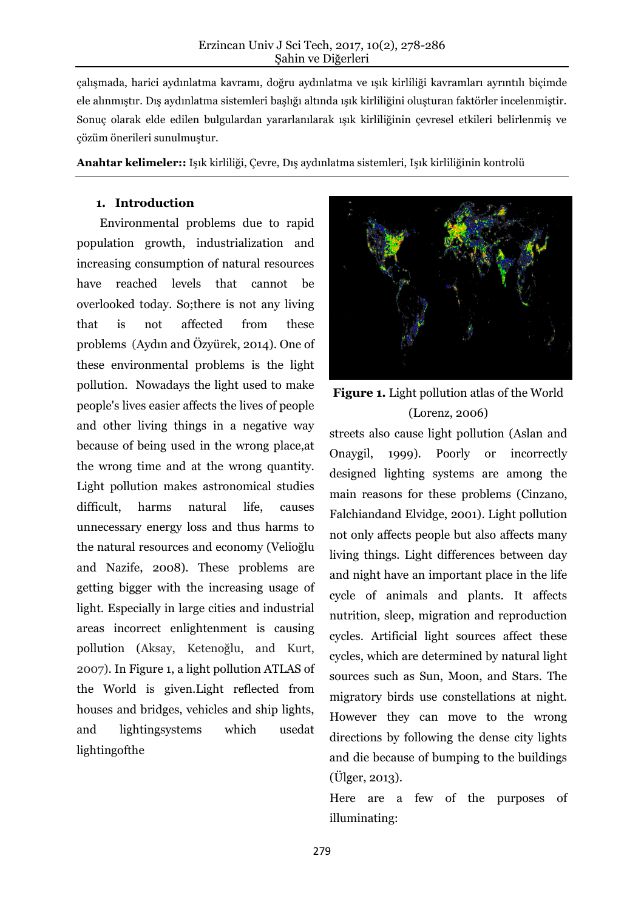çalışmada, harici aydınlatma kavramı, doğru aydınlatma ve ışık kirliliği kavramları ayrıntılı biçimde ele alınmıştır. Dış aydınlatma sistemleri başlığı altında ışık kirliliğini oluşturan faktörler incelenmiştir. Sonuç olarak elde edilen bulgulardan yararlanılarak ışık kirliliğinin çevresel etkileri belirlenmiş ve çözüm önerileri sunulmuştur.

**Anahtar kelimeler::** Işık kirliliği, Çevre, Dış aydınlatma sistemleri, Işık kirliliğinin kontrolü

#### **1. Introduction**

Environmental problems due to rapid population growth, industrialization and increasing consumption of natural resources have reached levels that cannot be overlooked today. So;there is not any living that is not affected from these problems (Aydın and Özyürek, 2014). One of these environmental problems is the light pollution. Nowadays the light used to make people's lives easier affects the lives of people and other living things in a negative way because of being used in the wrong place,at the wrong time and at the wrong quantity. Light pollution makes astronomical studies difficult, harms natural life, causes unnecessary energy loss and thus harms to the natural resources and economy ([Velioğlu](http://polen.itu.edu.tr/browse?type=author&value=Onuk%2C+Nazife+Tu%C4%9F%C3%A7e)  and [Nazife,](http://polen.itu.edu.tr/browse?type=author&value=Onuk%2C+Nazife+Tu%C4%9F%C3%A7e) 2008). These problems are getting bigger with the increasing usage of light. Especially in large cities and industrial areas incorrect enlightenment is causing pollution (Aksay, Ketenoğlu, and Kurt, 2007). In Figure 1, a light pollution ATLAS of the World is given.Light reflected from houses and bridges, vehicles and ship lights, and lightingsystems which usedat lightingofthe



**Figure 1.** Light pollution atlas of the World (Lorenz, 2006)

streets also cause light pollution (Aslan and Onaygil, 1999). Poorly or incorrectly designed lighting systems are among the main reasons for these problems (Cinzano, Falchiandand Elvidge, 2001). Light pollution not only affects people but also affects many living things. Light differences between day and night have an important place in the life cycle of animals and plants. It affects nutrition, sleep, migration and reproduction cycles. Artificial light sources affect these cycles, which are determined by natural light sources such as Sun, Moon, and Stars. The migratory birds use constellations at night. However they can move to the wrong directions by following the dense city lights and die because of bumping to the buildings (Ülger, 2013).

Here are a few of the purposes of illuminating: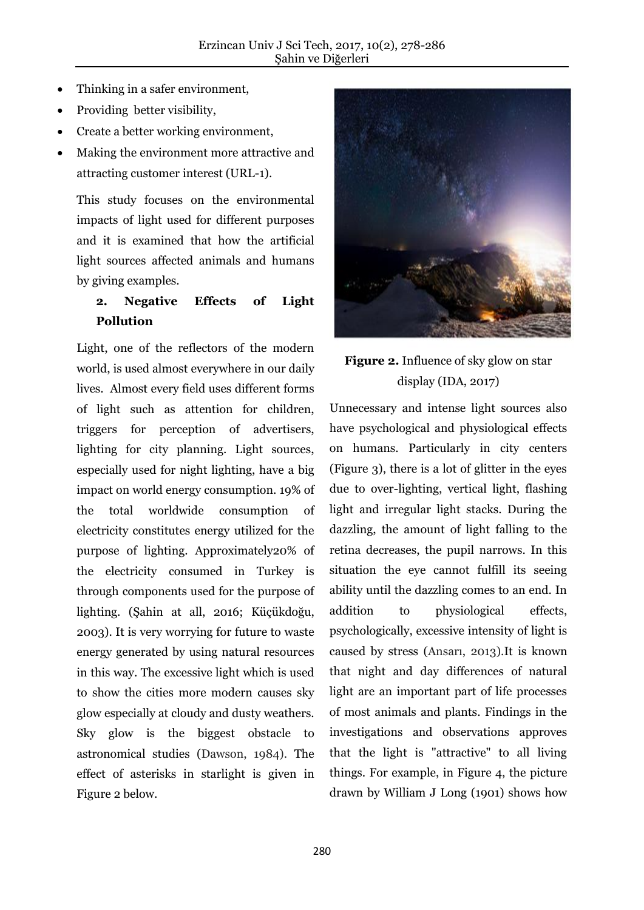- Thinking in a safer environment,
- Providing better visibility,
- Create a better working environment,
- Making the environment more attractive and attracting customer interest (URL-1).

This study focuses on the environmental impacts of light used for different purposes and it is examined that how the artificial light sources affected animals and humans by giving examples.

# **2. Negative Effects of Light Pollution**

Light, one of the reflectors of the modern world, is used almost everywhere in our daily lives. Almost every field uses different forms of light such as attention for children, triggers for perception of advertisers, lighting for city planning. Light sources, especially used for night lighting, have a big impact on world energy consumption. 19% of the total worldwide consumption of electricity constitutes energy utilized for the purpose of lighting. Approximately20% of the electricity consumed in Turkey is through components used for the purpose of lighting. (Şahin at all, 2016; Küçükdoğu, 2003). It is very worrying for future to waste energy generated by using natural resources in this way. The excessive light which is used to show the cities more modern causes sky glow especially at cloudy and dusty weathers. Sky glow is the biggest obstacle to astronomical studies (Dawson, 1984). The effect of asterisks in starlight is given in Figure 2 below.



# **Figure 2.** Influence of sky glow on star display (IDA, 2017)

Unnecessary and intense light sources also have psychological and physiological effects on humans. Particularly in city centers (Figure 3), there is a lot of glitter in the eyes due to over-lighting, vertical light, flashing light and irregular light stacks. During the dazzling, the amount of light falling to the retina decreases, the pupil narrows. In this situation the eye cannot fulfill its seeing ability until the dazzling comes to an end. In addition to physiological effects, psychologically, excessive intensity of light is caused by stress (Ansarı, 2013).It is known that night and day differences of natural light are an important part of life processes of most animals and plants. Findings in the investigations and observations approves that the light is "attractive" to all living things. For example, in Figure 4, the picture drawn by William J Long (1901) shows how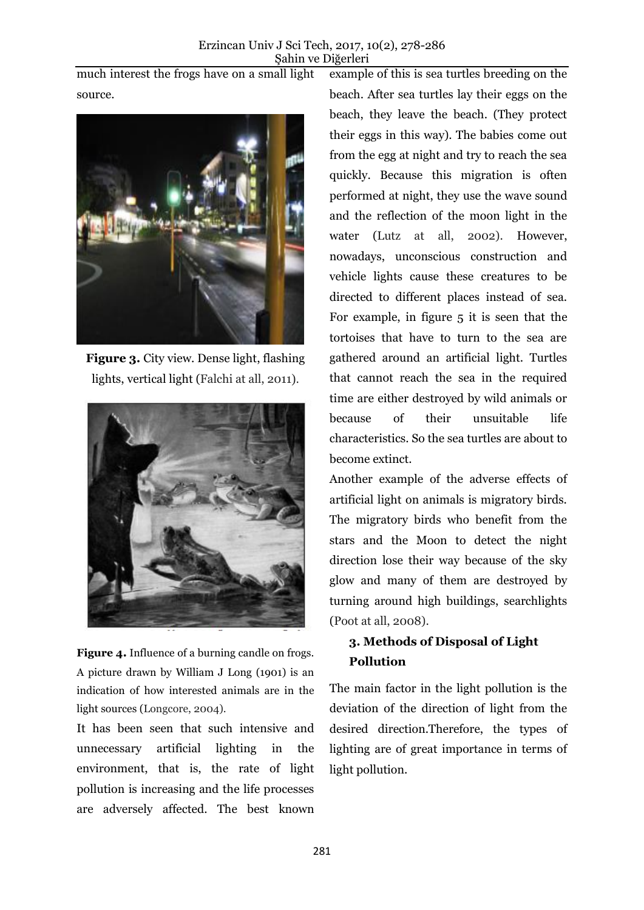much interest the frogs have on a small light source.



**Figure 3.** City view. Dense light, flashing lights, vertical light (Falchi at all, 2011).



**Figure 4.** Influence of a burning candle on frogs. A picture drawn by William J Long (1901) is an indication of how interested animals are in the light sources (Longcore, 2004).

It has been seen that such intensive and unnecessary artificial lighting in the environment, that is, the rate of light pollution is increasing and the life processes are adversely affected. The best known example of this is sea turtles breeding on the beach. After sea turtles lay their eggs on the beach, they leave the beach. (They protect their eggs in this way). The babies come out from the egg at night and try to reach the sea quickly. Because this migration is often performed at night, they use the wave sound and the reflection of the moon light in the water (Lutz at all, 2002). However, nowadays, unconscious construction and vehicle lights cause these creatures to be directed to different places instead of sea. For example, in figure 5 it is seen that the tortoises that have to turn to the sea are gathered around an artificial light. Turtles that cannot reach the sea in the required time are either destroyed by wild animals or because of their unsuitable life characteristics. So the sea turtles are about to become extinct.

Another example of the adverse effects of artificial light on animals is migratory birds. The migratory birds who benefit from the stars and the Moon to detect the night direction lose their way because of the sky glow and many of them are destroyed by turning around high buildings, searchlights (Poot at all, 2008).

# **3. Methods of Disposal of Light Pollution**

The main factor in the light pollution is the deviation of the direction of light from the desired direction.Therefore, the types of lighting are of great importance in terms of light pollution.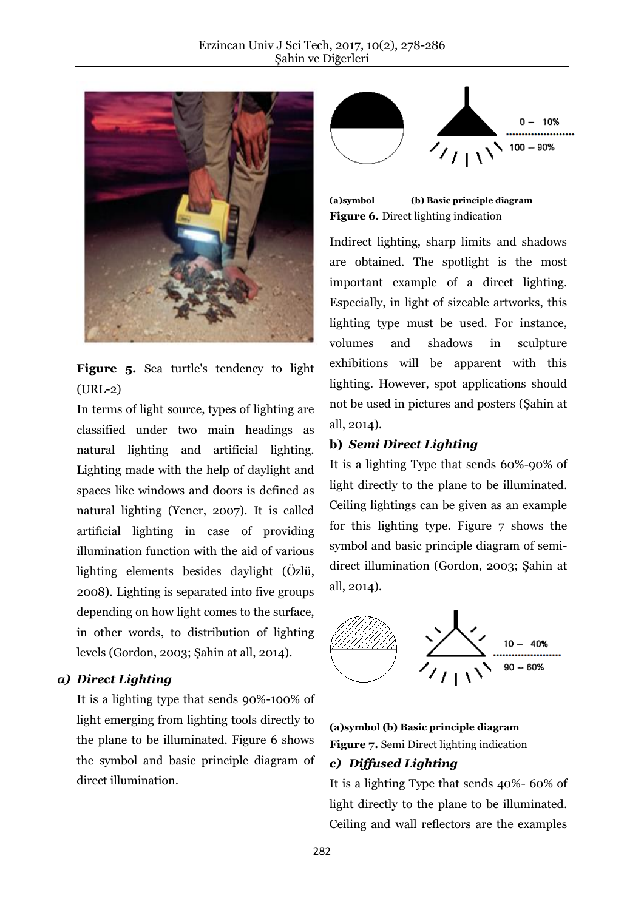

**Figure 5.** Sea turtle's tendency to light (URL-2)

In terms of light source, types of lighting are classified under two main headings as natural lighting and artificial lighting. Lighting made with the help of daylight and spaces like windows and doors is defined as natural lighting (Yener, 2007). It is called artificial lighting in case of providing illumination function with the aid of various lighting elements besides daylight (Özlü, 2008). Lighting is separated into five groups depending on how light comes to the surface, in other words, to distribution of lighting levels (Gordon, 2003; Şahin at all, 2014).

### *a) Direct Lighting*

It is a lighting type that sends 90%-100% of light emerging from lighting tools directly to the plane to be illuminated. Figure 6 shows the symbol and basic principle diagram of direct illumination.



**(a)symbol (b) Basic principle diagram Figure 6.** Direct lighting indication

Indirect lighting, sharp limits and shadows are obtained. The spotlight is the most important example of a direct lighting. Especially, in light of sizeable artworks, this lighting type must be used. For instance, volumes and shadows in sculpture exhibitions will be apparent with this lighting. However, spot applications should not be used in pictures and posters (Şahin at all, 2014).

### **b)** *Semi Direct Lighting*

It is a lighting Type that sends 60%-90% of light directly to the plane to be illuminated. Ceiling lightings can be given as an example for this lighting type. Figure 7 shows the symbol and basic principle diagram of semidirect illumination (Gordon, 2003; Şahin at all, 2014).



**(a)symbol (b) Basic principle diagram Figure 7.** Semi Direct lighting indication

### *c) Diffused Lighting*

It is a lighting Type that sends 40%- 60% of light directly to the plane to be illuminated. Ceiling and wall reflectors are the examples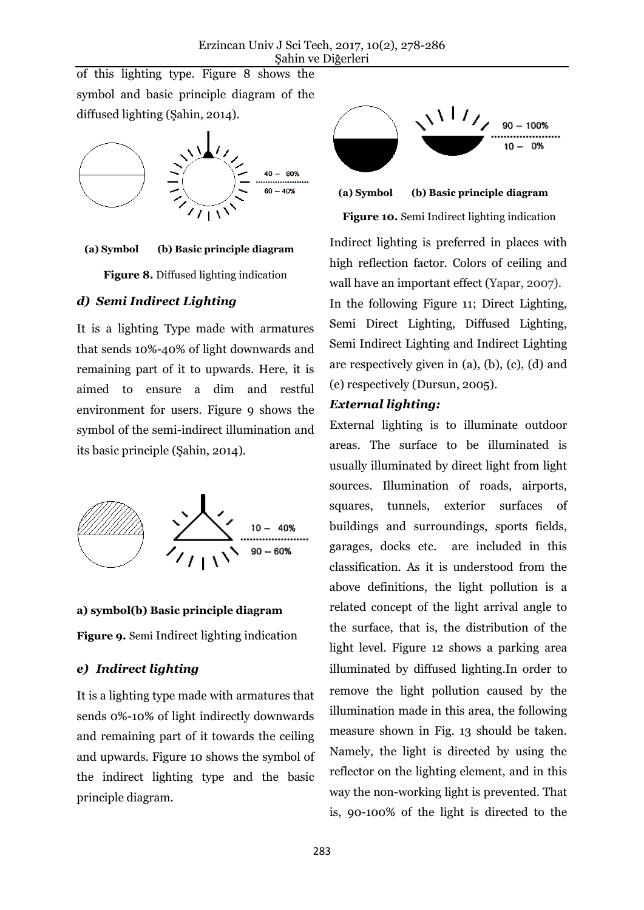of this lighting type. Figure 8 shows the symbol and basic principle diagram of the diffused lighting (Şahin, 2014).



#### **(a) Symbol (b) Basic principle diagram**

**Figure 8.** Diffused lighting indication

#### *d) Semi Indirect Lighting*

It is a lighting Type made with armatures that sends 10%-40% of light downwards and remaining part of it to upwards. Here, it is aimed to ensure a dim and restful environment for users. Figure 9 shows the symbol of the semi-indirect illumination and its basic principle (Şahin, 2014).



#### **a) symbol(b) Basic principle diagram**

**Figure 9.** Semi Indirect lighting indication

#### *e) Indirect lighting*

It is a lighting type made with armatures that sends 0%-10% of light indirectly downwards and remaining part of it towards the ceiling and upwards. Figure 10 shows the symbol of the indirect lighting type and the basic principle diagram.



**(a) Symbol (b) Basic principle diagram**

**Figure 10.** Semi Indirect lighting indication

Indirect lighting is preferred in places with high reflection factor. Colors of ceiling and wall have an important effect (Yapar, 2007).

In the following Figure 11; Direct Lighting, Semi Direct Lighting, Diffused Lighting, Semi Indirect Lighting and Indirect Lighting are respectively given in (a), (b), (c), (d) and (e) respectively (Dursun, 2005).

### *External lighting:*

External lighting is to illuminate outdoor areas. The surface to be illuminated is usually illuminated by direct light from light sources. Illumination of roads, airports, squares, tunnels, exterior surfaces of buildings and surroundings, sports fields, garages, docks etc. are included in this classification. As it is understood from the above definitions, the light pollution is a related concept of the light arrival angle to the surface, that is, the distribution of the light level. Figure 12 shows a parking area illuminated by diffused lighting.In order to remove the light pollution caused by the illumination made in this area, the following measure shown in Fig. 13 should be taken. Namely, the light is directed by using the reflector on the lighting element, and in this way the non-working light is prevented. That is, 90-100% of the light is directed to the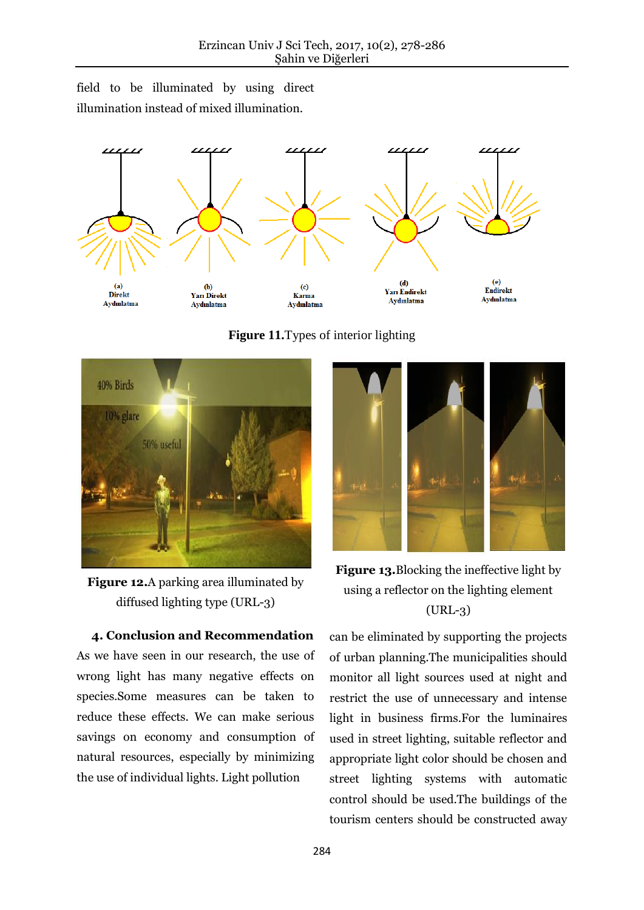field to be illuminated by using direct illumination instead of mixed illumination.



**Figure 11.**Types of interior lighting



**Figure 12.**A parking area illuminated by diffused lighting type (URL-3)

 **4. Conclusion and Recommendation** As we have seen in our research, the use of wrong light has many negative effects on species.Some measures can be taken to reduce these effects. We can make serious savings on economy and consumption of natural resources, especially by minimizing the use of individual lights. Light pollution



**Figure 13.**Blocking the ineffective light by using a reflector on the lighting element (URL-3)

can be eliminated by supporting the projects of urban planning.The municipalities should monitor all light sources used at night and restrict the use of unnecessary and intense light in business firms.For the luminaires used in street lighting, suitable reflector and appropriate light color should be chosen and street lighting systems with automatic control should be used.The buildings of the tourism centers should be constructed away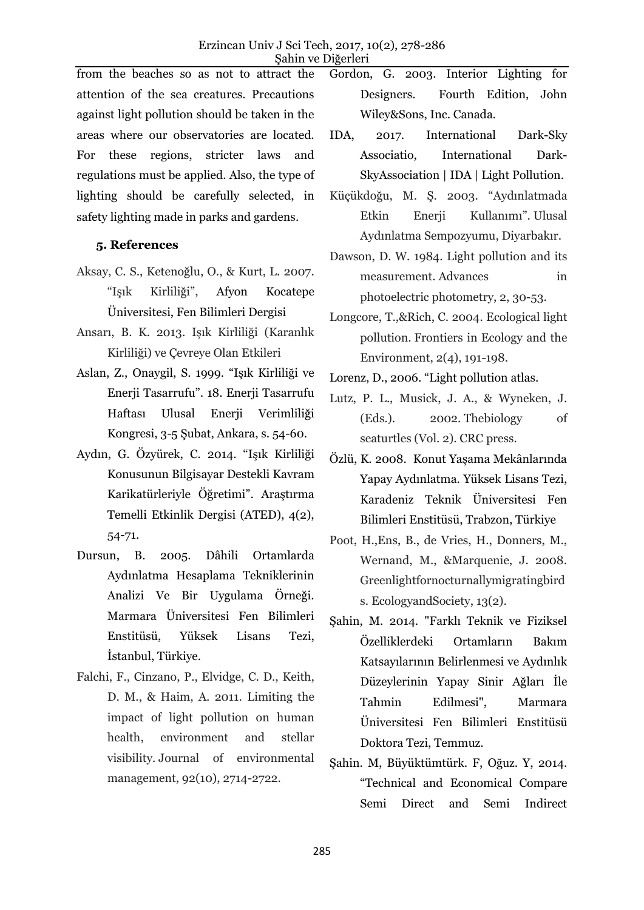from the beaches so as not to attract the attention of the sea creatures. Precautions against light pollution should be taken in the areas where our observatories are located. For these regions, stricter laws and regulations must be applied. Also, the type of lighting should be carefully selected, in safety lighting made in parks and gardens.

### **5. References**

- Aksay, C. S., Ketenoğlu, O., & Kurt, L. 2007. "Işık Kirliliği", Afyon Kocatepe Üniversitesi, Fen Bilimleri Dergisi
- Ansarı, B. K. 2013. Işık Kirliliği (Karanlık Kirliliği) ve Çevreye Olan Etkileri
- Aslan, Z., Onaygil, S. 1999. "Işık Kirliliği ve Enerji Tasarrufu". 18. Enerji Tasarrufu Haftası Ulusal Enerji Verimliliği Kongresi, 3-5 Şubat, Ankara, s. 54-60.
- Aydın, G. Özyürek, C. 2014. "Işık Kirliliği Konusunun Bilgisayar Destekli Kavram Karikatürleriyle Öğretimi". Araştırma Temelli Etkinlik Dergisi (ATED), 4(2), 54-71.
- Dursun, B. 2005. Dâhili Ortamlarda Aydınlatma Hesaplama Tekniklerinin Analizi Ve Bir Uygulama Örneği. Marmara Üniversitesi Fen Bilimleri Enstitüsü, Yüksek Lisans Tezi, İstanbul, Türkiye.
- Falchi, F., Cinzano, P., Elvidge, C. D., Keith, D. M., & Haim, A. 2011. Limiting the impact of light pollution on human health, environment and stellar visibility. Journal of environmental management, 92(10), 2714-2722.
- Gordon, G. 2003. Interior Lighting for Designers. Fourth Edition, John Wiley&Sons, Inc. Canada.
- IDA, 2017. International Dark-Sky Associatio, [International Dark-](https://www.google.com.tr/url?sa=t&rct=j&q=&esrc=s&source=web&cd=1&cad=rja&uact=8&ved=0ahUKEwjntqGhwKHTAhXsCpoKHYeKAQoQFggkMAA&url=http%3A%2F%2Fdarksky.org%2F&usg=AFQjCNECl7WvzZ4kA3rjtdRkWAPX0U5ilQ&sig2=obT5pu_U3sVs1U9RWQIv3A)[SkyAssociation | IDA | Light](https://www.google.com.tr/url?sa=t&rct=j&q=&esrc=s&source=web&cd=1&cad=rja&uact=8&ved=0ahUKEwjntqGhwKHTAhXsCpoKHYeKAQoQFggkMAA&url=http%3A%2F%2Fdarksky.org%2F&usg=AFQjCNECl7WvzZ4kA3rjtdRkWAPX0U5ilQ&sig2=obT5pu_U3sVs1U9RWQIv3A) Pollution.
- Küçükdoğu, M. Ş. 2003. "Aydınlatmada Etkin Enerii Kullanımı". Ulusal Aydınlatma Sempozyumu, Diyarbakır.
- Dawson, D. W. 1984. Light pollution and its measurement. Advances in photoelectric photometry, 2, 30-53.
- Longcore, T.,&Rich, C. 2004. Ecological light pollution. Frontiers in Ecology and the Environment, 2(4), 191-198.
- Lorenz, D., 2006. "Light pollution atlas.
- Lutz, P. L., Musick, J. A., & Wyneken, J. (Eds.). 2002. Thebiology of seaturtles (Vol. 2). CRC press.
- Özlü, K. 2008. Konut Yaşama Mekânlarında Yapay Aydınlatma. Yüksek Lisans Tezi, Karadeniz Teknik Üniversitesi Fen Bilimleri Enstitüsü, Trabzon, Türkiye
- Poot, H.,Ens, B., de Vries, H., Donners, M., Wernand, M., &Marquenie, J. 2008. Greenlightfornocturnallymigratingbird s. EcologyandSociety, 13(2).
- Şahin, M. 2014. "Farklı Teknik ve Fiziksel Özelliklerdeki Ortamların Bakım Katsayılarının Belirlenmesi ve Aydınlık Düzeylerinin Yapay Sinir Ağları İle Tahmin Edilmesi", Marmara Üniversitesi Fen Bilimleri Enstitüsü Doktora Tezi, Temmuz.
- Şahin. M, Büyüktümtürk. F, Oğuz. Y, 2014. "Technical and Economical Compare Semi Direct and Semi Indirect